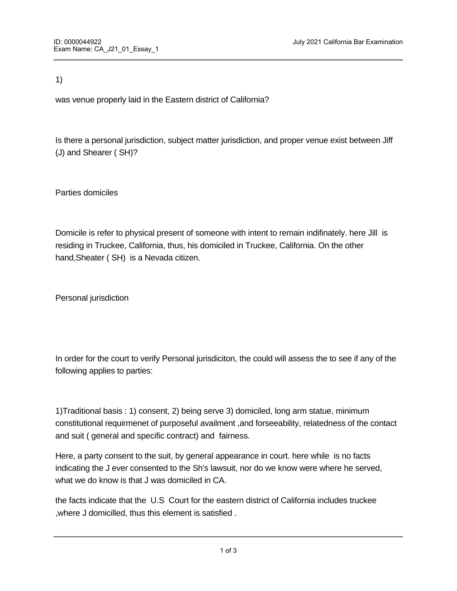1)

was venue properly laid in the Eastern district of California?

Is there a personal jurisdiction, subject matter jurisdiction, and proper venue exist between Jiff (J) and Shearer ( SH)?

Parties domiciles

Domicile is refer to physical present of someone with intent to remain indifinately. here Jill is residing in Truckee, California, thus, his domiciled in Truckee, California. On the other hand,Sheater ( SH) is a Nevada citizen.

Personal jurisdiction

In order for the court to verify Personal jurisdiciton, the could will assess the to see if any of the following applies to parties:

1)Traditional basis : 1) consent, 2) being serve 3) domiciled, long arm statue, minimum constitutional requirmenet of purposeful availment ,and forseeability, relatedness of the contact and suit ( general and specific contract) and fairness.

Here, a party consent to the suit, by general appearance in court. here while is no facts indicating the J ever consented to the Sh's lawsuit, nor do we know were where he served, what we do know is that J was domiciled in CA.

the facts indicate that the U.S Court for the eastern district of California includes truckee ,where J domicilled, thus this element is satisfied .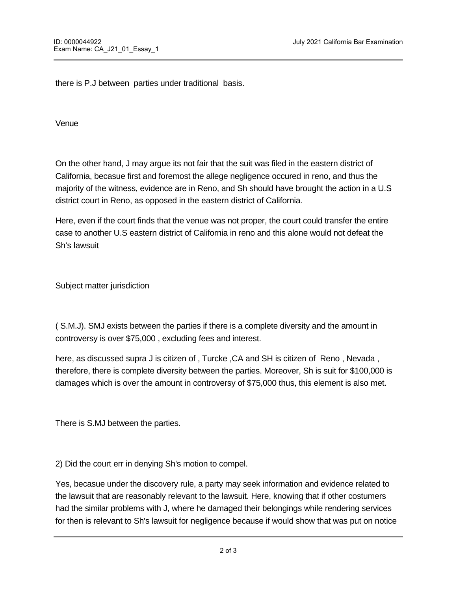there is P.J between parties under traditional basis.

Venue

On the other hand, J may argue its not fair that the suit was filed in the eastern district of California, becasue first and foremost the allege negligence occured in reno, and thus the majority of the witness, evidence are in Reno, and Sh should have brought the action in a U.S district court in Reno, as opposed in the eastern district of California.

Here, even if the court finds that the venue was not proper, the court could transfer the entire case to another U.S eastern district of California in reno and this alone would not defeat the Sh's lawsuit

Subject matter jurisdiction

( S.M.J). SMJ exists between the parties if there is a complete diversity and the amount in controversy is over \$75,000 , excluding fees and interest.

here, as discussed supra J is citizen of , Turcke ,CA and SH is citizen of Reno , Nevada , therefore, there is complete diversity between the parties. Moreover, Sh is suit for \$100,000 is damages which is over the amount in controversy of \$75,000 thus, this element is also met.

There is S.MJ between the parties.

2) Did the court err in denying Sh's motion to compel.

Yes, becasue under the discovery rule, a party may seek information and evidence related to the lawsuit that are reasonably relevant to the lawsuit. Here, knowing that if other costumers had the similar problems with J, where he damaged their belongings while rendering services for then is relevant to Sh's lawsuit for negligence because if would show that was put on notice

about this issue and should have paid more attention to not to be careless while at work.